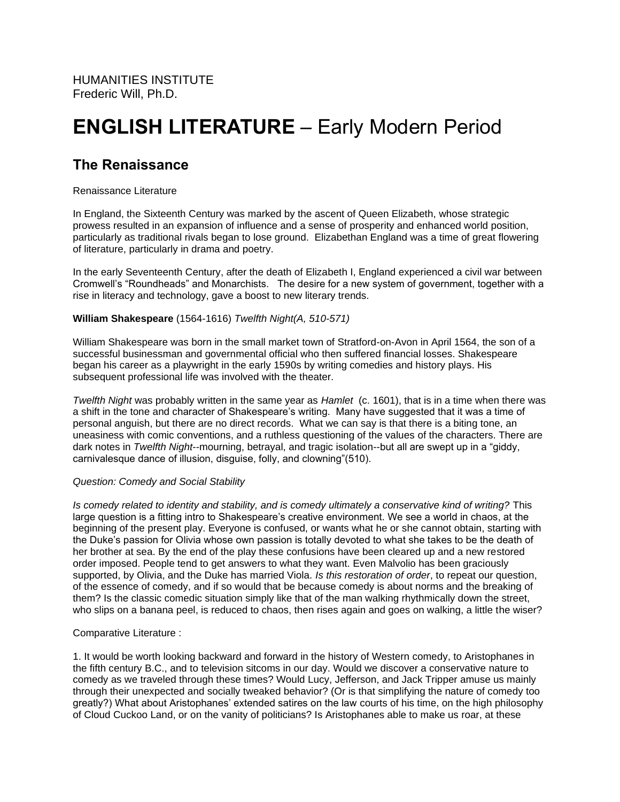# **ENGLISH LITERATURE** – Early Modern Period

# **The Renaissance**

Renaissance Literature

In England, the Sixteenth Century was marked by the ascent of Queen Elizabeth, whose strategic prowess resulted in an expansion of influence and a sense of prosperity and enhanced world position, particularly as traditional rivals began to lose ground. Elizabethan England was a time of great flowering of literature, particularly in drama and poetry.

In the early Seventeenth Century, after the death of Elizabeth I, England experienced a civil war between Cromwell's "Roundheads" and Monarchists. The desire for a new system of government, together with a rise in literacy and technology, gave a boost to new literary trends.

## **William Shakespeare** (1564-1616) *Twelfth Night(A, 510-571)*

William Shakespeare was born in the small market town of Stratford-on-Avon in April 1564, the son of a successful businessman and governmental official who then suffered financial losses. Shakespeare began his career as a playwright in the early 1590s by writing comedies and history plays. His subsequent professional life was involved with the theater.

*Twelfth Night* was probably written in the same year as *Hamlet* (c. 1601), that is in a time when there was a shift in the tone and character of Shakespeare's writing. Many have suggested that it was a time of personal anguish, but there are no direct records. What we can say is that there is a biting tone, an uneasiness with comic conventions, and a ruthless questioning of the values of the characters. There are dark notes in *Twelfth Night*--mourning, betrayal, and tragic isolation--but all are swept up in a "giddy, carnivalesque dance of illusion, disguise, folly, and clowning"(510).

#### *Question: Comedy and Social Stability*

*Is comedy related to identity and stability, and is comedy ultimately a conservative kind of writing?* This large question is a fitting intro to Shakespeare's creative environment. We see a world in chaos, at the beginning of the present play. Everyone is confused, or wants what he or she cannot obtain, starting with the Duke's passion for Olivia whose own passion is totally devoted to what she takes to be the death of her brother at sea. By the end of the play these confusions have been cleared up and a new restored order imposed. People tend to get answers to what they want. Even Malvolio has been graciously supported, by Olivia, and the Duke has married Viola. *Is this restoration of order*, to repeat our question, of the essence of comedy, and if so would that be because comedy is about norms and the breaking of them? Is the classic comedic situation simply like that of the man walking rhythmically down the street, who slips on a banana peel, is reduced to chaos, then rises again and goes on walking, a little the wiser?

# Comparative Literature :

1. It would be worth looking backward and forward in the history of Western comedy, to Aristophanes in the fifth century B.C., and to television sitcoms in our day. Would we discover a conservative nature to comedy as we traveled through these times? Would Lucy, Jefferson, and Jack Tripper amuse us mainly through their unexpected and socially tweaked behavior? (Or is that simplifying the nature of comedy too greatly?) What about Aristophanes' extended satires on the law courts of his time, on the high philosophy of Cloud Cuckoo Land, or on the vanity of politicians? Is Aristophanes able to make us roar, at these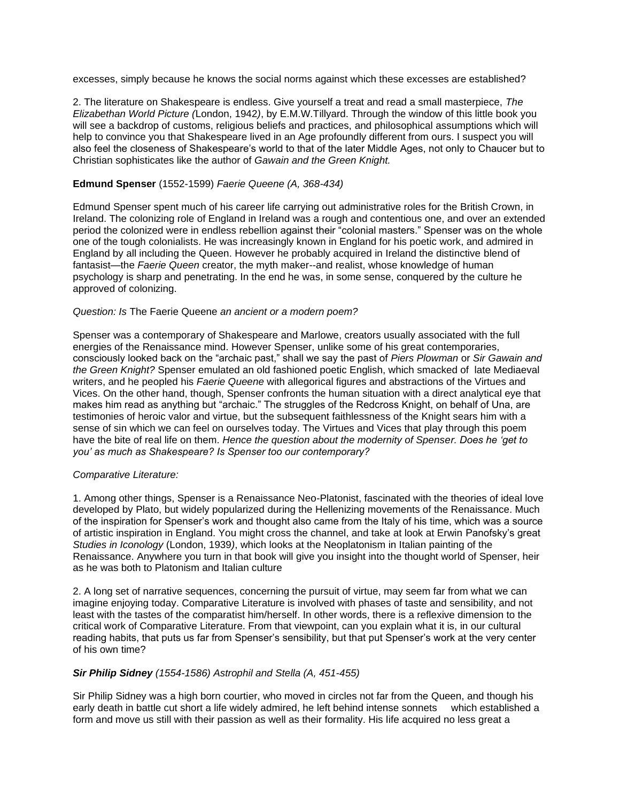excesses, simply because he knows the social norms against which these excesses are established?

2. The literature on Shakespeare is endless. Give yourself a treat and read a small masterpiece, *The Elizabethan World Picture (*London, 1942*)*, by E.M.W.Tillyard. Through the window of this little book you will see a backdrop of customs, religious beliefs and practices, and philosophical assumptions which will help to convince you that Shakespeare lived in an Age profoundly different from ours. I suspect you will also feel the closeness of Shakespeare's world to that of the later Middle Ages, not only to Chaucer but to Christian sophisticates like the author of *Gawain and the Green Knight.*

## **Edmund Spenser** (1552-1599) *Faerie Queene (A, 368-434)*

Edmund Spenser spent much of his career life carrying out administrative roles for the British Crown, in Ireland. The colonizing role of England in Ireland was a rough and contentious one, and over an extended period the colonized were in endless rebellion against their "colonial masters." Spenser was on the whole one of the tough colonialists. He was increasingly known in England for his poetic work, and admired in England by all including the Queen. However he probably acquired in Ireland the distinctive blend of fantasist—the *Faerie Queen* creator, the myth maker--and realist, whose knowledge of human psychology is sharp and penetrating. In the end he was, in some sense, conquered by the culture he approved of colonizing.

#### *Question: Is* The Faerie Queene *an ancient or a modern poem?*

Spenser was a contemporary of Shakespeare and Marlowe, creators usually associated with the full energies of the Renaissance mind. However Spenser, unlike some of his great contemporaries, consciously looked back on the "archaic past," shall we say the past of *Piers Plowman* or *Sir Gawain and the Green Knight?* Spenser emulated an old fashioned poetic English, which smacked of late Mediaeval writers, and he peopled his *Faerie Queene* with allegorical figures and abstractions of the Virtues and Vices. On the other hand, though, Spenser confronts the human situation with a direct analytical eye that makes him read as anything but "archaic." The struggles of the Redcross Knight, on behalf of Una, are testimonies of heroic valor and virtue, but the subsequent faithlessness of the Knight sears him with a sense of sin which we can feel on ourselves today. The Virtues and Vices that play through this poem have the bite of real life on them. *Hence the question about the modernity of Spenser. Does he 'get to you' as much as Shakespeare? Is Spenser too our contemporary?* 

#### *Comparative Literature:*

1. Among other things, Spenser is a Renaissance Neo-Platonist, fascinated with the theories of ideal love developed by Plato, but widely popularized during the Hellenizing movements of the Renaissance. Much of the inspiration for Spenser's work and thought also came from the Italy of his time, which was a source of artistic inspiration in England. You might cross the channel, and take at look at Erwin Panofsky's great *Studies in Iconology* (London, 1939*)*, which looks at the Neoplatonism in Italian painting of the Renaissance. Anywhere you turn in that book will give you insight into the thought world of Spenser, heir as he was both to Platonism and Italian culture

2. A long set of narrative sequences, concerning the pursuit of virtue, may seem far from what we can imagine enjoying today. Comparative Literature is involved with phases of taste and sensibility, and not least with the tastes of the comparatist him/herself. In other words, there is a reflexive dimension to the critical work of Comparative Literature. From that viewpoint, can you explain what it is, in our cultural reading habits, that puts us far from Spenser's sensibility, but that put Spenser's work at the very center of his own time?

#### *Sir Philip Sidney (1554-1586) Astrophil and Stella (A, 451-455)*

Sir Philip Sidney was a high born courtier, who moved in circles not far from the Queen, and though his early death in battle cut short a life widely admired, he left behind intense sonnets which established a form and move us still with their passion as well as their formality. His life acquired no less great a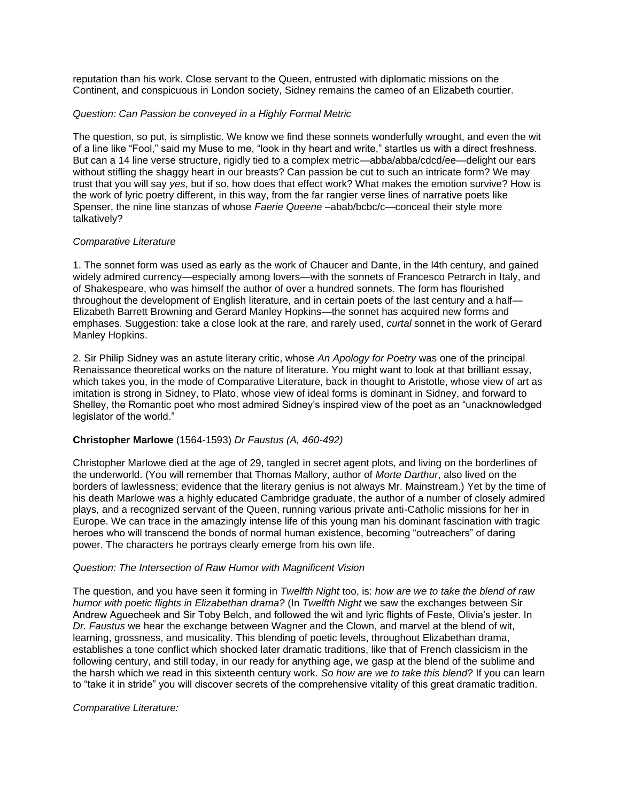reputation than his work. Close servant to the Queen, entrusted with diplomatic missions on the Continent, and conspicuous in London society, Sidney remains the cameo of an Elizabeth courtier.

#### *Question: Can Passion be conveyed in a Highly Formal Metric*

The question, so put, is simplistic. We know we find these sonnets wonderfully wrought, and even the wit of a line like "Fool," said my Muse to me, "look in thy heart and write," startles us with a direct freshness. But can a 14 line verse structure, rigidly tied to a complex metric—abba/abba/cdcd/ee—delight our ears without stifling the shaggy heart in our breasts? Can passion be cut to such an intricate form? We may trust that you will say *yes*, but if so, how does that effect work? What makes the emotion survive? How is the work of lyric poetry different, in this way, from the far rangier verse lines of narrative poets like Spenser, the nine line stanzas of whose *Faerie Queene* –abab/bcbc/c—conceal their style more talkatively?

#### *Comparative Literature*

1. The sonnet form was used as early as the work of Chaucer and Dante, in the l4th century, and gained widely admired currency—especially among lovers—with the sonnets of Francesco Petrarch in Italy, and of Shakespeare, who was himself the author of over a hundred sonnets. The form has flourished throughout the development of English literature, and in certain poets of the last century and a half— Elizabeth Barrett Browning and Gerard Manley Hopkins—the sonnet has acquired new forms and emphases. Suggestion: take a close look at the rare, and rarely used, *curtal* sonnet in the work of Gerard Manley Hopkins.

2. Sir Philip Sidney was an astute literary critic, whose *An Apology for Poetry* was one of the principal Renaissance theoretical works on the nature of literature. You might want to look at that brilliant essay, which takes you, in the mode of Comparative Literature, back in thought to Aristotle, whose view of art as imitation is strong in Sidney, to Plato, whose view of ideal forms is dominant in Sidney, and forward to Shelley, the Romantic poet who most admired Sidney's inspired view of the poet as an "unacknowledged legislator of the world."

#### **Christopher Marlowe** (1564-1593) *Dr Faustus (A, 460-492)*

Christopher Marlowe died at the age of 29, tangled in secret agent plots, and living on the borderlines of the underworld. (You will remember that Thomas Mallory, author of *Morte Darthur*, also lived on the borders of lawlessness; evidence that the literary genius is not always Mr. Mainstream.) Yet by the time of his death Marlowe was a highly educated Cambridge graduate, the author of a number of closely admired plays, and a recognized servant of the Queen, running various private anti-Catholic missions for her in Europe. We can trace in the amazingly intense life of this young man his dominant fascination with tragic heroes who will transcend the bonds of normal human existence, becoming "outreachers" of daring power. The characters he portrays clearly emerge from his own life.

#### *Question: The Intersection of Raw Humor with Magnificent Vision*

The question, and you have seen it forming in *Twelfth Night* too, is: *how are we to take the blend of raw humor with poetic flights in Elizabethan drama?* (In *Twelfth Night* we saw the exchanges between Sir Andrew Aguecheek and Sir Toby Belch, and followed the wit and lyric flights of Feste, Olivia's jester. In *Dr. Faustus* we hear the exchange between Wagner and the Clown, and marvel at the blend of wit, learning, grossness, and musicality. This blending of poetic levels, throughout Elizabethan drama, establishes a tone conflict which shocked later dramatic traditions, like that of French classicism in the following century, and still today, in our ready for anything age, we gasp at the blend of the sublime and the harsh which we read in this sixteenth century work. *So how are we to take this blend?* If you can learn to "take it in stride" you will discover secrets of the comprehensive vitality of this great dramatic tradition.

#### *Comparative Literature:*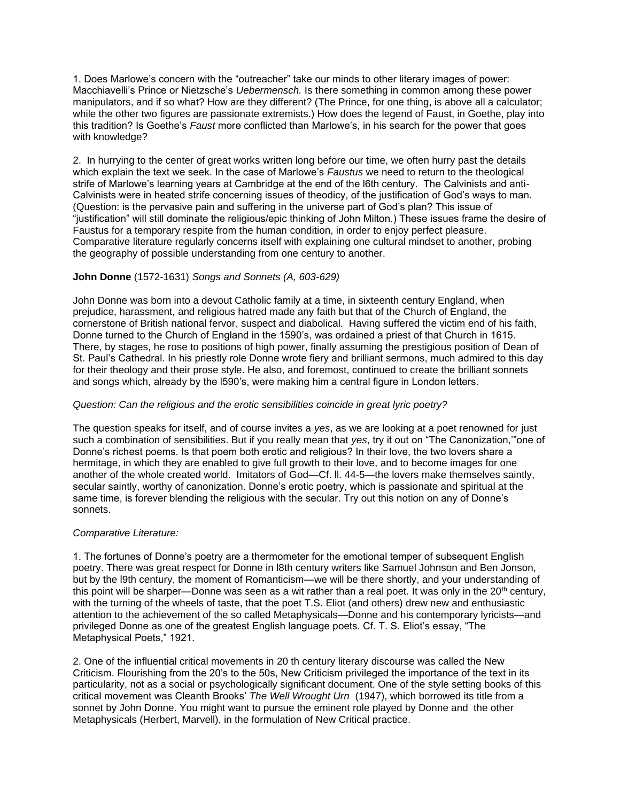1. Does Marlowe's concern with the "outreacher" take our minds to other literary images of power: Macchiavelli's Prince or Nietzsche's *Uebermensch.* Is there something in common among these power manipulators, and if so what? How are they different? (The Prince, for one thing, is above all a calculator; while the other two figures are passionate extremists.) How does the legend of Faust, in Goethe, play into this tradition? Is Goethe's *Faust* more conflicted than Marlowe's, in his search for the power that goes with knowledge?

2. In hurrying to the center of great works written long before our time, we often hurry past the details which explain the text we seek. In the case of Marlowe's *Faustus* we need to return to the theological strife of Marlowe's learning years at Cambridge at the end of the l6th century. The Calvinists and anti-Calvinists were in heated strife concerning issues of theodicy, of the justification of God's ways to man. (Question: is the pervasive pain and suffering in the universe part of God's plan? This issue of "justification" will still dominate the religious/epic thinking of John Milton.) These issues frame the desire of Faustus for a temporary respite from the human condition, in order to enjoy perfect pleasure. Comparative literature regularly concerns itself with explaining one cultural mindset to another, probing the geography of possible understanding from one century to another.

# **John Donne** (1572-1631) *Songs and Sonnets (A, 603-629)*

John Donne was born into a devout Catholic family at a time, in sixteenth century England, when prejudice, harassment, and religious hatred made any faith but that of the Church of England, the cornerstone of British national fervor, suspect and diabolical. Having suffered the victim end of his faith, Donne turned to the Church of England in the 1590's, was ordained a priest of that Church in 1615. There, by stages, he rose to positions of high power, finally assuming the prestigious position of Dean of St. Paul's Cathedral. In his priestly role Donne wrote fiery and brilliant sermons, much admired to this day for their theology and their prose style. He also, and foremost, continued to create the brilliant sonnets and songs which, already by the l590's, were making him a central figure in London letters.

#### *Question: Can the religious and the erotic sensibilities coincide in great lyric poetry?*

The question speaks for itself, and of course invites a *yes*, as we are looking at a poet renowned for just such a combination of sensibilities. But if you really mean that *yes*, try it out on "The Canonization,'"one of Donne's richest poems. Is that poem both erotic and religious? In their love, the two lovers share a hermitage, in which they are enabled to give full growth to their love, and to become images for one another of the whole created world. Imitators of God—Cf. ll. 44-5—the lovers make themselves saintly, secular saintly, worthy of canonization. Donne's erotic poetry, which is passionate and spiritual at the same time, is forever blending the religious with the secular. Try out this notion on any of Donne's sonnets.

#### *Comparative Literature:*

1. The fortunes of Donne's poetry are a thermometer for the emotional temper of subsequent English poetry. There was great respect for Donne in l8th century writers like Samuel Johnson and Ben Jonson, but by the l9th century, the moment of Romanticism—we will be there shortly, and your understanding of this point will be sharper—Donne was seen as a wit rather than a real poet. It was only in the  $20<sup>th</sup>$  century, with the turning of the wheels of taste, that the poet T.S. Eliot (and others) drew new and enthusiastic attention to the achievement of the so called Metaphysicals—Donne and his contemporary lyricists—and privileged Donne as one of the greatest English language poets. Cf. T. S. Eliot's essay, "The Metaphysical Poets," 1921.

2. One of the influential critical movements in 20 th century literary discourse was called the New Criticism. Flourishing from the 20's to the 50s, New Criticism privileged the importance of the text in its particularity, not as a social or psychologically significant document. One of the style setting books of this critical movement was Cleanth Brooks' *The Well Wrought Urn* (1947), which borrowed its title from a sonnet by John Donne. You might want to pursue the eminent role played by Donne and the other Metaphysicals (Herbert, Marvell), in the formulation of New Critical practice.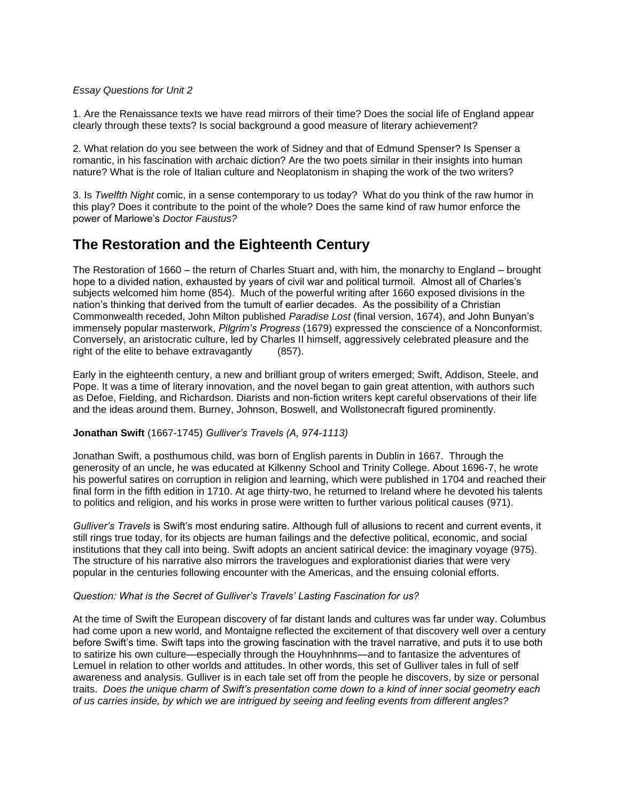#### *Essay Questions for Unit 2*

1. Are the Renaissance texts we have read mirrors of their time? Does the social life of England appear clearly through these texts? Is social background a good measure of literary achievement?

2. What relation do you see between the work of Sidney and that of Edmund Spenser? Is Spenser a romantic, in his fascination with archaic diction? Are the two poets similar in their insights into human nature? What is the role of Italian culture and Neoplatonism in shaping the work of the two writers?

3. Is *Twelfth Night* comic, in a sense contemporary to us today? What do you think of the raw humor in this play? Does it contribute to the point of the whole? Does the same kind of raw humor enforce the power of Marlowe's *Doctor Faustus?*

# **The Restoration and the Eighteenth Century**

The Restoration of 1660 – the return of Charles Stuart and, with him, the monarchy to England – brought hope to a divided nation, exhausted by years of civil war and political turmoil. Almost all of Charles's subjects welcomed him home (854). Much of the powerful writing after 1660 exposed divisions in the nation's thinking that derived from the tumult of earlier decades. As the possibility of a Christian Commonwealth receded, John Milton published *Paradise Lost* (final version, 1674), and John Bunyan's immensely popular masterwork, *Pilgrim's Progress* (1679) expressed the conscience of a Nonconformist. Conversely, an aristocratic culture, led by Charles II himself, aggressively celebrated pleasure and the right of the elite to behave extravagantly (857).

Early in the eighteenth century, a new and brilliant group of writers emerged; Swift, Addison, Steele, and Pope. It was a time of literary innovation, and the novel began to gain great attention, with authors such as Defoe, Fielding, and Richardson. Diarists and non-fiction writers kept careful observations of their life and the ideas around them. Burney, Johnson, Boswell, and Wollstonecraft figured prominently.

#### **Jonathan Swift** (1667-1745) *Gulliver's Travels (A, 974-1113)*

Jonathan Swift, a posthumous child, was born of English parents in Dublin in 1667. Through the generosity of an uncle, he was educated at Kilkenny School and Trinity College. About 1696-7, he wrote his powerful satires on corruption in religion and learning, which were published in 1704 and reached their final form in the fifth edition in 1710. At age thirty-two, he returned to Ireland where he devoted his talents to politics and religion, and his works in prose were written to further various political causes (971).

*Gulliver's Travels* is Swift's most enduring satire. Although full of allusions to recent and current events, it still rings true today, for its objects are human failings and the defective political, economic, and social institutions that they call into being. Swift adopts an ancient satirical device: the imaginary voyage (975). The structure of his narrative also mirrors the travelogues and explorationist diaries that were very popular in the centuries following encounter with the Americas, and the ensuing colonial efforts.

#### *Question: What is the Secret of Gulliver's Travels' Lasting Fascination for us?*

At the time of Swift the European discovery of far distant lands and cultures was far under way. Columbus had come upon a new world, and Montaigne reflected the excitement of that discovery well over a century before Swift's time. Swift taps into the growing fascination with the travel narrative, and puts it to use both to satirize his own culture—especially through the Houyhnhnms—and to fantasize the adventures of Lemuel in relation to other worlds and attitudes. In other words, this set of Gulliver tales in full of self awareness and analysis. Gulliver is in each tale set off from the people he discovers, by size or personal traits. *Does the unique charm of Swift's presentation come down to a kind of inner social geometry each of us carries inside, by which we are intrigued by seeing and feeling events from different angles?*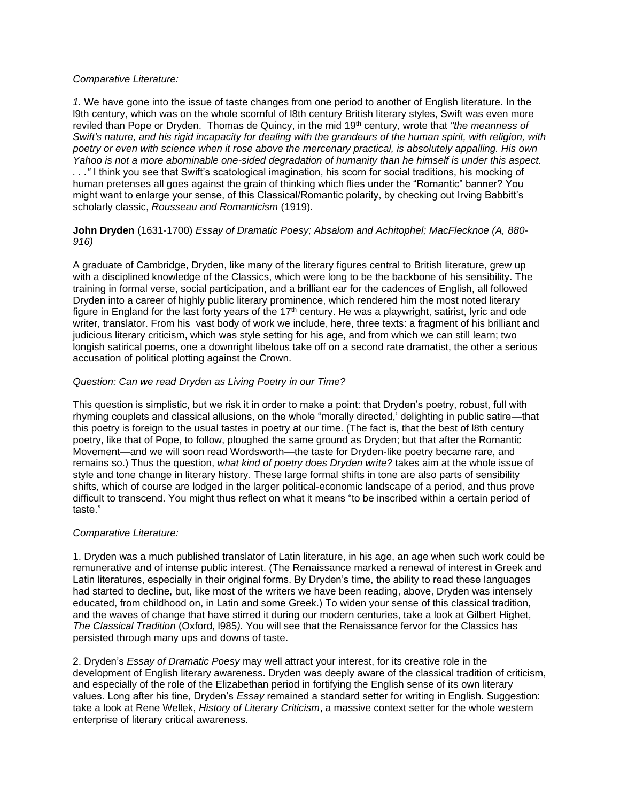#### *Comparative Literature:*

*1.* We have gone into the issue of taste changes from one period to another of English literature. In the l9th century, which was on the whole scornful of l8th century British literary styles, Swift was even more reviled than Pope or Dryden. Thomas de Quincy, in the mid 19th century, wrote that *"the meanness of Swift's nature, and his rigid incapacity for dealing with the grandeurs of the human spirit, with religion, with poetry or even with science when it rose above the mercenary practical, is absolutely appalling. His own Yahoo is not a more abominable one-sided degradation of humanity than he himself is under this aspect. . . ."* I think you see that Swift's scatological imagination, his scorn for social traditions, his mocking of human pretenses all goes against the grain of thinking which flies under the "Romantic" banner? You might want to enlarge your sense, of this Classical/Romantic polarity, by checking out Irving Babbitt's scholarly classic, *Rousseau and Romanticism* (1919).

#### **John Dryden** (1631-1700) *Essay of Dramatic Poesy; Absalom and Achitophel; MacFlecknoe (A, 880- 916)*

A graduate of Cambridge, Dryden, like many of the literary figures central to British literature, grew up with a disciplined knowledge of the Classics, which were long to be the backbone of his sensibility. The training in formal verse, social participation, and a brilliant ear for the cadences of English, all followed Dryden into a career of highly public literary prominence, which rendered him the most noted literary figure in England for the last forty years of the 17<sup>th</sup> century. He was a playwright, satirist, lyric and ode writer, translator. From his vast body of work we include, here, three texts: a fragment of his brilliant and judicious literary criticism, which was style setting for his age, and from which we can still learn; two longish satirical poems, one a downright libelous take off on a second rate dramatist, the other a serious accusation of political plotting against the Crown.

## *Question: Can we read Dryden as Living Poetry in our Time?*

This question is simplistic, but we risk it in order to make a point: that Dryden's poetry, robust, full with rhyming couplets and classical allusions, on the whole "morally directed,' delighting in public satire—that this poetry is foreign to the usual tastes in poetry at our time. (The fact is, that the best of l8th century poetry, like that of Pope, to follow, ploughed the same ground as Dryden; but that after the Romantic Movement—and we will soon read Wordsworth—the taste for Dryden-like poetry became rare, and remains so.) Thus the question, *what kind of poetry does Dryden write?* takes aim at the whole issue of style and tone change in literary history. These large formal shifts in tone are also parts of sensibility shifts, which of course are lodged in the larger political-economic landscape of a period, and thus prove difficult to transcend. You might thus reflect on what it means "to be inscribed within a certain period of taste."

#### *Comparative Literature:*

1. Dryden was a much published translator of Latin literature, in his age, an age when such work could be remunerative and of intense public interest. (The Renaissance marked a renewal of interest in Greek and Latin literatures, especially in their original forms. By Dryden's time, the ability to read these languages had started to decline, but, like most of the writers we have been reading, above, Dryden was intensely educated, from childhood on, in Latin and some Greek.) To widen your sense of this classical tradition, and the waves of change that have stirred it during our modern centuries, take a look at Gilbert Highet, *The Classical Tradition* (Oxford, l985*).* You will see that the Renaissance fervor for the Classics has persisted through many ups and downs of taste.

2. Dryden's *Essay of Dramatic Poesy* may well attract your interest, for its creative role in the development of English literary awareness. Dryden was deeply aware of the classical tradition of criticism, and especially of the role of the Elizabethan period in fortifying the English sense of its own literary values. Long after his tine, Dryden's *Essay* remained a standard setter for writing in English. Suggestion: take a look at Rene Wellek, *History of Literary Criticism*, a massive context setter for the whole western enterprise of literary critical awareness.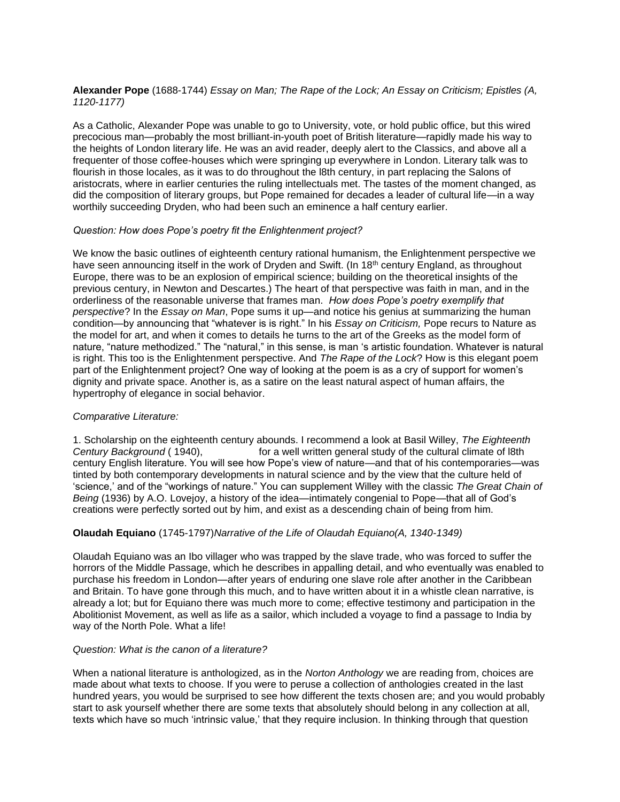#### **Alexander Pope** (1688-1744) *Essay on Man; The Rape of the Lock; An Essay on Criticism; Epistles (A, 1120-1177)*

As a Catholic, Alexander Pope was unable to go to University, vote, or hold public office, but this wired precocious man—probably the most brilliant-in-youth poet of British literature—rapidly made his way to the heights of London literary life. He was an avid reader, deeply alert to the Classics, and above all a frequenter of those coffee-houses which were springing up everywhere in London. Literary talk was to flourish in those locales, as it was to do throughout the l8th century, in part replacing the Salons of aristocrats, where in earlier centuries the ruling intellectuals met. The tastes of the moment changed, as did the composition of literary groups, but Pope remained for decades a leader of cultural life—in a way worthily succeeding Dryden, who had been such an eminence a half century earlier.

#### *Question: How does Pope's poetry fit the Enlightenment project?*

We know the basic outlines of eighteenth century rational humanism, the Enlightenment perspective we have seen announcing itself in the work of Dryden and Swift. (In 18<sup>th</sup> century England, as throughout Europe, there was to be an explosion of empirical science; building on the theoretical insights of the previous century, in Newton and Descartes.) The heart of that perspective was faith in man, and in the orderliness of the reasonable universe that frames man. *How does Pope's poetry exemplify that perspective*? In the *Essay on Man*, Pope sums it up—and notice his genius at summarizing the human condition—by announcing that "whatever is is right." In his *Essay on Criticism,* Pope recurs to Nature as the model for art, and when it comes to details he turns to the art of the Greeks as the model form of nature, "nature methodized." The "natural," in this sense, is man 's artistic foundation. Whatever is natural is right. This too is the Enlightenment perspective. And *The Rape of the Lock*? How is this elegant poem part of the Enlightenment project? One way of looking at the poem is as a cry of support for women's dignity and private space. Another is, as a satire on the least natural aspect of human affairs, the hypertrophy of elegance in social behavior.

#### *Comparative Literature:*

1. Scholarship on the eighteenth century abounds. I recommend a look at Basil Willey, *The Eighteenth Century Background* (1940), for a well written general study of the cultural climate of l8th century English literature. You will see how Pope's view of nature—and that of his contemporaries—was tinted by both contemporary developments in natural science and by the view that the culture held of 'science,' and of the "workings of nature." You can supplement Willey with the classic *The Great Chain of Being* (1936) by A.O. Lovejoy, a history of the idea—intimately congenial to Pope—that all of God's creations were perfectly sorted out by him, and exist as a descending chain of being from him.

# **Olaudah Equiano** (1745-1797)*Narrative of the Life of Olaudah Equiano(A, 1340-1349)*

Olaudah Equiano was an Ibo villager who was trapped by the slave trade, who was forced to suffer the horrors of the Middle Passage, which he describes in appalling detail, and who eventually was enabled to purchase his freedom in London—after years of enduring one slave role after another in the Caribbean and Britain. To have gone through this much, and to have written about it in a whistle clean narrative, is already a lot; but for Equiano there was much more to come; effective testimony and participation in the Abolitionist Movement, as well as life as a sailor, which included a voyage to find a passage to India by way of the North Pole. What a life!

#### *Question: What is the canon of a literature?*

When a national literature is anthologized, as in the *Norton Anthology* we are reading from, choices are made about what texts to choose. If you were to peruse a collection of anthologies created in the last hundred years, you would be surprised to see how different the texts chosen are; and you would probably start to ask yourself whether there are some texts that absolutely should belong in any collection at all, texts which have so much 'intrinsic value,' that they require inclusion. In thinking through that question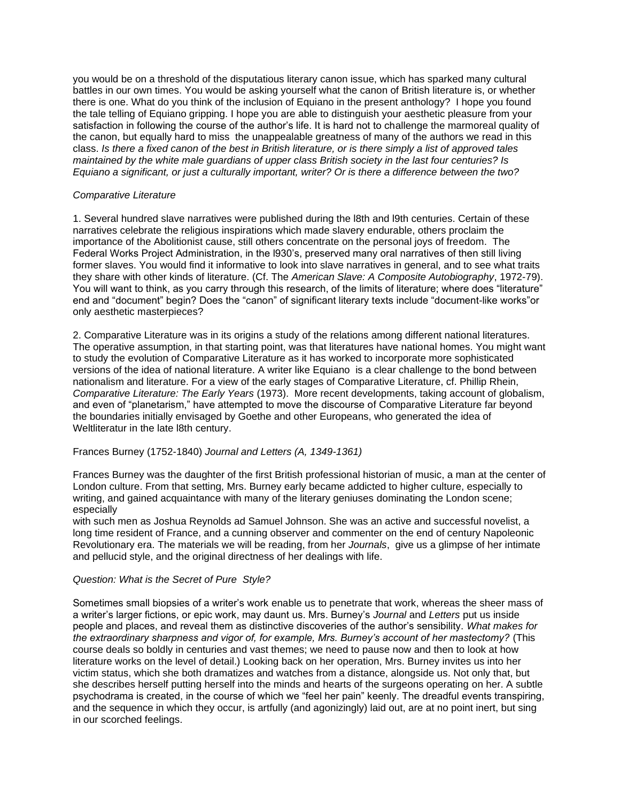you would be on a threshold of the disputatious literary canon issue, which has sparked many cultural battles in our own times. You would be asking yourself what the canon of British literature is, or whether there is one. What do you think of the inclusion of Equiano in the present anthology? I hope you found the tale telling of Equiano gripping. I hope you are able to distinguish your aesthetic pleasure from your satisfaction in following the course of the author's life. It is hard not to challenge the marmoreal quality of the canon, but equally hard to miss the unappealable greatness of many of the authors we read in this class. *Is there a fixed canon of the best in British literature, or is there simply a list of approved tales maintained by the white male guardians of upper class British society in the last four centuries? Is Equiano a significant, or just a culturally important, writer? Or is there a difference between the two?*

#### *Comparative Literature*

1. Several hundred slave narratives were published during the l8th and l9th centuries. Certain of these narratives celebrate the religious inspirations which made slavery endurable, others proclaim the importance of the Abolitionist cause, still others concentrate on the personal joys of freedom. The Federal Works Project Administration, in the l930's, preserved many oral narratives of then still living former slaves. You would find it informative to look into slave narratives in general, and to see what traits they share with other kinds of literature. (Cf. The *American Slave: A Composite Autobiography*, 1972-79). You will want to think, as you carry through this research, of the limits of literature; where does "literature" end and "document" begin? Does the "canon" of significant literary texts include "document-like works"or only aesthetic masterpieces?

2. Comparative Literature was in its origins a study of the relations among different national literatures. The operative assumption, in that starting point, was that literatures have national homes. You might want to study the evolution of Comparative Literature as it has worked to incorporate more sophisticated versions of the idea of national literature. A writer like Equiano is a clear challenge to the bond between nationalism and literature. For a view of the early stages of Comparative Literature, cf. Phillip Rhein, *Comparative Literature: The Early Years* (1973). More recent developments, taking account of globalism, and even of "planetarism," have attempted to move the discourse of Comparative Literature far beyond the boundaries initially envisaged by Goethe and other Europeans, who generated the idea of Weltliteratur in the late l8th century.

#### Frances Burney (1752-1840) *Journal and Letters (A, 1349-1361)*

Frances Burney was the daughter of the first British professional historian of music, a man at the center of London culture. From that setting, Mrs. Burney early became addicted to higher culture, especially to writing, and gained acquaintance with many of the literary geniuses dominating the London scene; especially

with such men as Joshua Reynolds ad Samuel Johnson. She was an active and successful novelist, a long time resident of France, and a cunning observer and commenter on the end of century Napoleonic Revolutionary era. The materials we will be reading, from her *Journals*, give us a glimpse of her intimate and pellucid style, and the original directness of her dealings with life.

#### *Question: What is the Secret of Pure Style?*

Sometimes small biopsies of a writer's work enable us to penetrate that work, whereas the sheer mass of a writer's larger fictions, or epic work, may daunt us. Mrs. Burney's *Journal* and *Letters* put us inside people and places, and reveal them as distinctive discoveries of the author's sensibility. *What makes for the extraordinary sharpness and vigor of, for example, Mrs. Burney's account of her mastectomy?* (This course deals so boldly in centuries and vast themes; we need to pause now and then to look at how literature works on the level of detail.) Looking back on her operation, Mrs. Burney invites us into her victim status, which she both dramatizes and watches from a distance, alongside us. Not only that, but she describes herself putting herself into the minds and hearts of the surgeons operating on her. A subtle psychodrama is created, in the course of which we "feel her pain" keenly. The dreadful events transpiring, and the sequence in which they occur, is artfully (and agonizingly) laid out, are at no point inert, but sing in our scorched feelings.